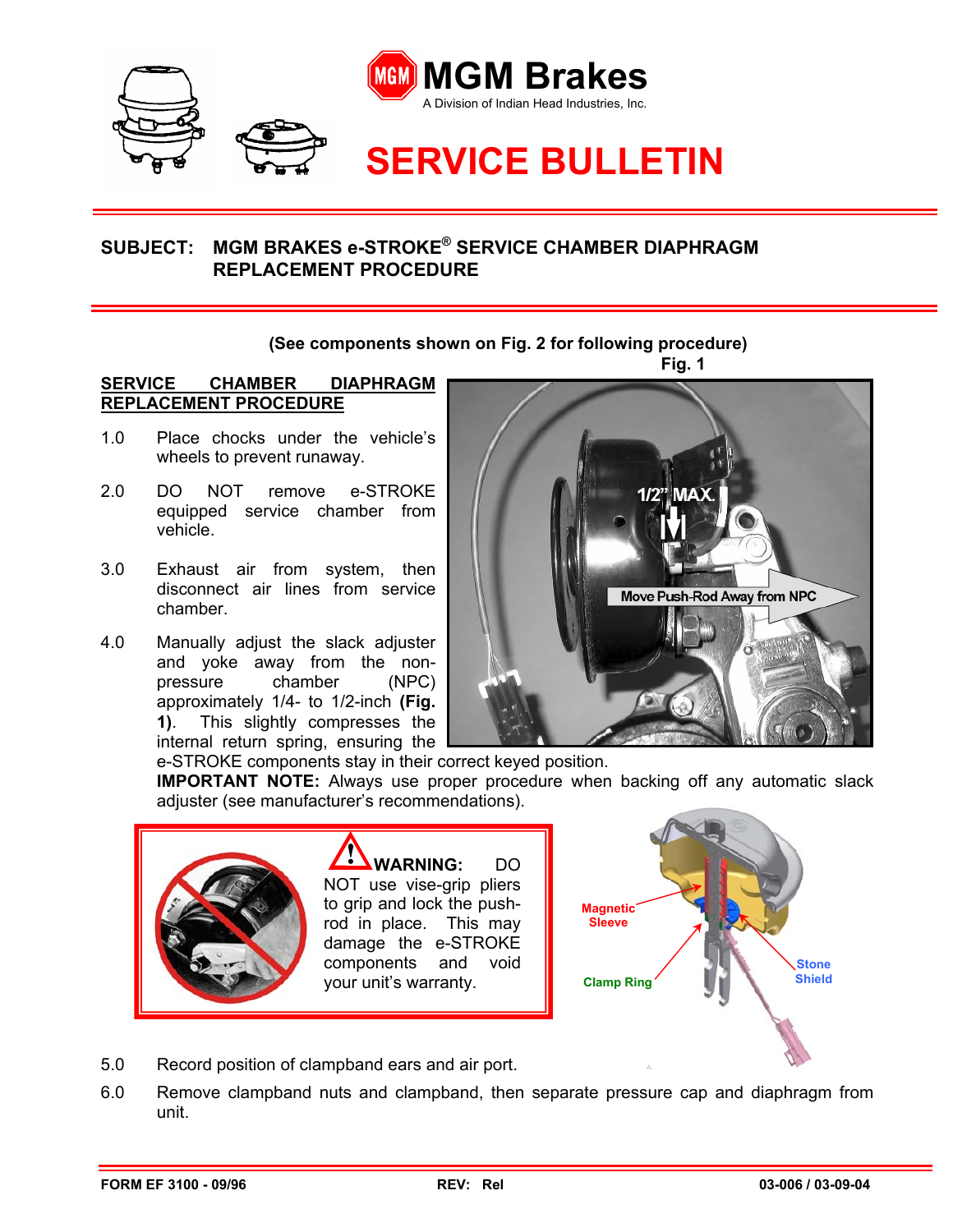

## **SUBJECT: MGM BRAKES e-STROKE® SERVICE CHAMBER DIAPHRAGM REPLACEMENT PROCEDURE**

## **(See components shown on Fig. 2 for following procedure)**

## **SERVICE CHAMBER DIAPHRAGM REPLACEMENT PROCEDURE**

- 1.0 Place chocks under the vehicle's wheels to prevent runaway.
- 2.0 DO NOT remove e-STROKE equipped service chamber from vehicle.
- 3.0 Exhaust air from system, then disconnect air lines from service chamber.
- 4.0 Manually adjust the slack adjuster and yoke away from the nonpressure chamber (NPC) approximately 1/4- to 1/2-inch **(Fig. 1)**. This slightly compresses the internal return spring, ensuring the



e-STROKE components stay in their correct keyed position.

**IMPORTANT NOTE:** Always use proper procedure when backing off any automatic slack adjuster (see manufacturer's recommendations).



**WARNING:** DO NOT use vise-grip pliers to grip and lock the pushrod in place. This may damage the e-STROKE components and void your unit's warranty.



5.0 Record position of clampband ears and air port.

6.0 Remove clampband nuts and clampband, then separate pressure cap and diaphragm from unit.